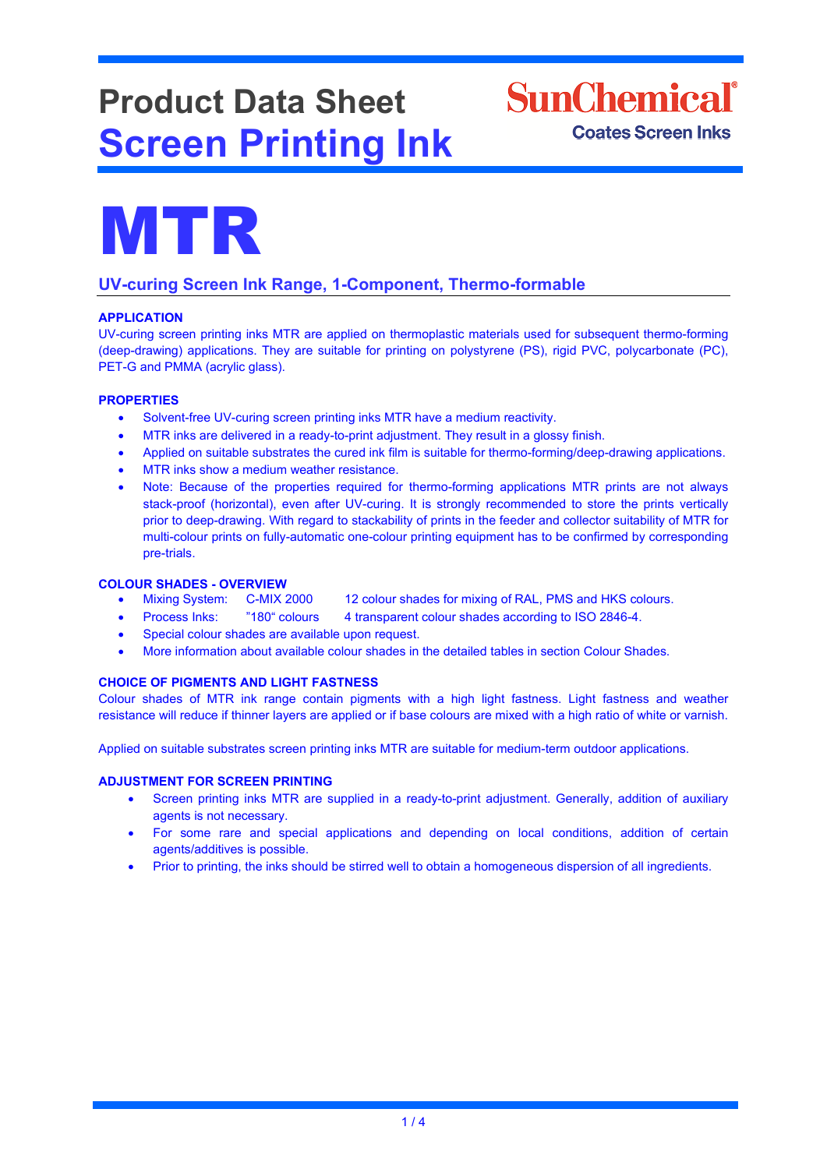# **Product Data Sheet Screen Printing Ink**



MTR

## **UV-curing Screen Ink Range, 1-Component, Thermo-formable**

## **APPLICATION**

UV-curing screen printing inks MTR are applied on thermoplastic materials used for subsequent thermo-forming (deep-drawing) applications. They are suitable for printing on polystyrene (PS), rigid PVC, polycarbonate (PC), PET-G and PMMA (acrylic glass).

## **PROPERTIES**

- Solvent-free UV-curing screen printing inks MTR have a medium reactivity.
- MTR inks are delivered in a ready-to-print adjustment. They result in a glossy finish.
- Applied on suitable substrates the cured ink film is suitable for thermo-forming/deep-drawing applications.
- MTR inks show a medium weather resistance.
- Note: Because of the properties required for thermo-forming applications MTR prints are not always stack-proof (horizontal), even after UV-curing. It is strongly recommended to store the prints vertically prior to deep-drawing. With regard to stackability of prints in the feeder and collector suitability of MTR for multi-colour prints on fully-automatic one-colour printing equipment has to be confirmed by corresponding pre-trials.

## **COLOUR SHADES - OVERVIEW**

- Mixing System: C-MIX 2000 12 colour shades for mixing of RAL, PMS and HKS colours.
- Process Inks: "180" colours 4 transparent colour shades according to ISO 2846-4.
- Special colour shades are available upon request.
- More information about available colour shades in the detailed tables in section Colour Shades.

## **CHOICE OF PIGMENTS AND LIGHT FASTNESS**

Colour shades of MTR ink range contain pigments with a high light fastness. Light fastness and weather resistance will reduce if thinner layers are applied or if base colours are mixed with a high ratio of white or varnish.

Applied on suitable substrates screen printing inks MTR are suitable for medium-term outdoor applications.

#### **ADJUSTMENT FOR SCREEN PRINTING**

- Screen printing inks MTR are supplied in a ready-to-print adjustment. Generally, addition of auxiliary agents is not necessary.
- For some rare and special applications and depending on local conditions, addition of certain agents/additives is possible.
- Prior to printing, the inks should be stirred well to obtain a homogeneous dispersion of all ingredients.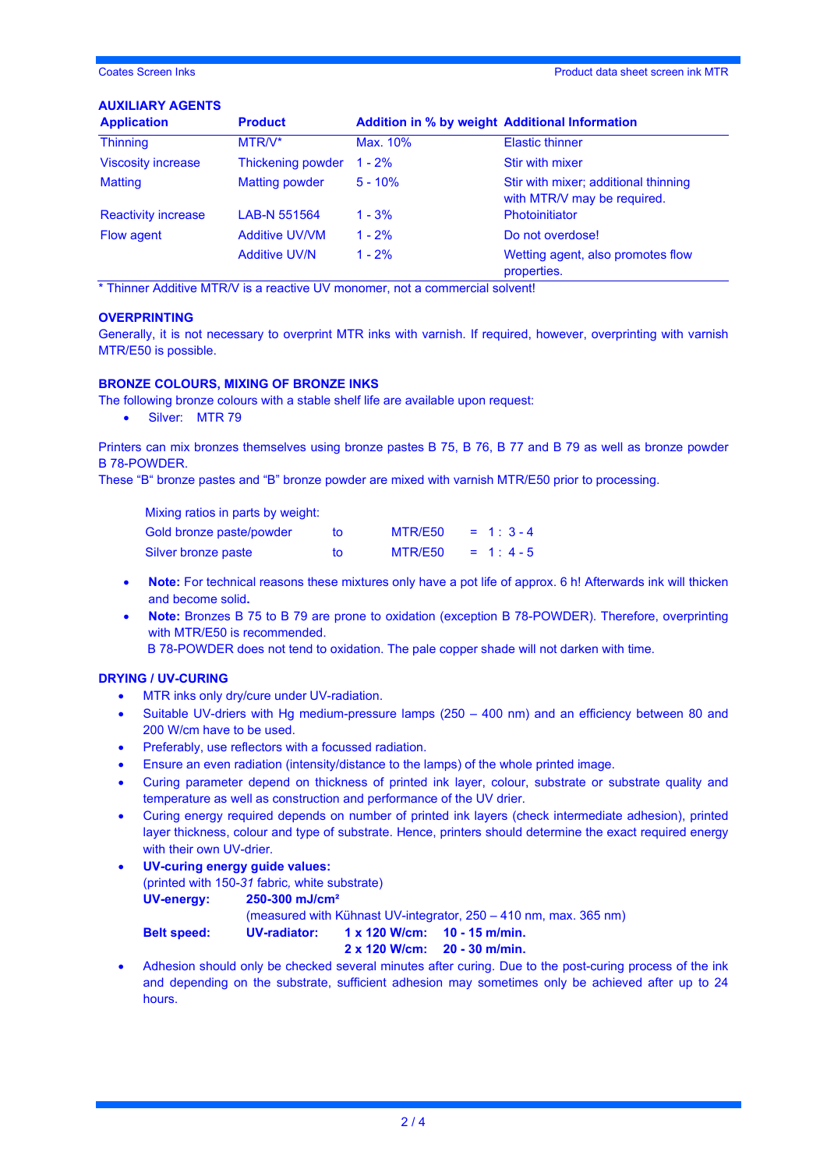## **AUXILIARY AGENTS**

| <b>Product</b>        | <b>Addition in % by weight Additional Information</b> |                                                                     |
|-----------------------|-------------------------------------------------------|---------------------------------------------------------------------|
| MTR/V*                | Max. 10%                                              | <b>Elastic thinner</b>                                              |
| Thickening powder     | $1 - 2\%$                                             | <b>Stir with mixer</b>                                              |
| <b>Matting powder</b> | $5 - 10%$                                             | Stir with mixer; additional thinning<br>with MTR/V may be required. |
| LAB-N 551564          | $1 - 3%$                                              | Photoinitiator                                                      |
| <b>Additive UV/VM</b> | $1 - 2%$                                              | Do not overdose!                                                    |
| <b>Additive UV/N</b>  | $1 - 2%$                                              | Wetting agent, also promotes flow<br>properties.                    |
|                       |                                                       |                                                                     |

\* Thinner Additive MTR/V is a reactive UV monomer, not a commercial solvent!

### **OVERPRINTING**

Generally, it is not necessary to overprint MTR inks with varnish. If required, however, overprinting with varnish MTR/E50 is possible.

#### **BRONZE COLOURS, MIXING OF BRONZE INKS**

The following bronze colours with a stable shelf life are available upon request:

• Silver: MTR 79

Printers can mix bronzes themselves using bronze pastes B 75, B 76, B 77 and B 79 as well as bronze powder B 78-POWDER.

These "B" bronze pastes and "B" bronze powder are mixed with varnish MTR/E50 prior to processing.

| Mixing ratios in parts by weight: |    |         |            |
|-----------------------------------|----|---------|------------|
| Gold bronze paste/powder          | to | MTR/E50 | $= 1:3-4$  |
| Silver bronze paste               | tΩ | MTR/E50 | $= 1: 4-5$ |

- **Note:** For technical reasons these mixtures only have a pot life of approx. 6 h! Afterwards ink will thicken and become solid**.**
- **Note:** Bronzes B 75 to B 79 are prone to oxidation (exception B 78-POWDER). Therefore, overprinting with MTR/E50 is recommended.

B 78-POWDER does not tend to oxidation. The pale copper shade will not darken with time.

#### **DRYING / UV-CURING**

- MTR inks only dry/cure under UV-radiation.
- Suitable UV-driers with Hg medium-pressure lamps (250 400 nm) and an efficiency between 80 and 200 W/cm have to be used.
- Preferably, use reflectors with a focussed radiation.
- Ensure an even radiation (intensity/distance to the lamps) of the whole printed image.
- Curing parameter depend on thickness of printed ink layer, colour, substrate or substrate quality and temperature as well as construction and performance of the UV drier.
- Curing energy required depends on number of printed ink layers (check intermediate adhesion), printed layer thickness, colour and type of substrate. Hence, printers should determine the exact required energy with their own UV-drier.
- **UV-curing energy guide values:** 
	- (printed with 150-*31* fabric*,* white substrate)

| <b>UV-energy:</b> | $250 - 300$ mJ/cm <sup>2</sup>                                                                                 |  |  |  |
|-------------------|----------------------------------------------------------------------------------------------------------------|--|--|--|
|                   | the contracted that the TAND is contracted to the conception of the Contracted Contracted to the Contracted Co |  |  |  |

(measured with Kühnast UV-integrator, 250 – 410 nm, max. 365 nm)

**Belt speed: UV-radiator: 1 x 120 W/cm: 10 - 15 m/min.**

**2 x 120 W/cm: 20 - 30 m/min.**

• Adhesion should only be checked several minutes after curing. Due to the post-curing process of the ink and depending on the substrate, sufficient adhesion may sometimes only be achieved after up to 24 hours.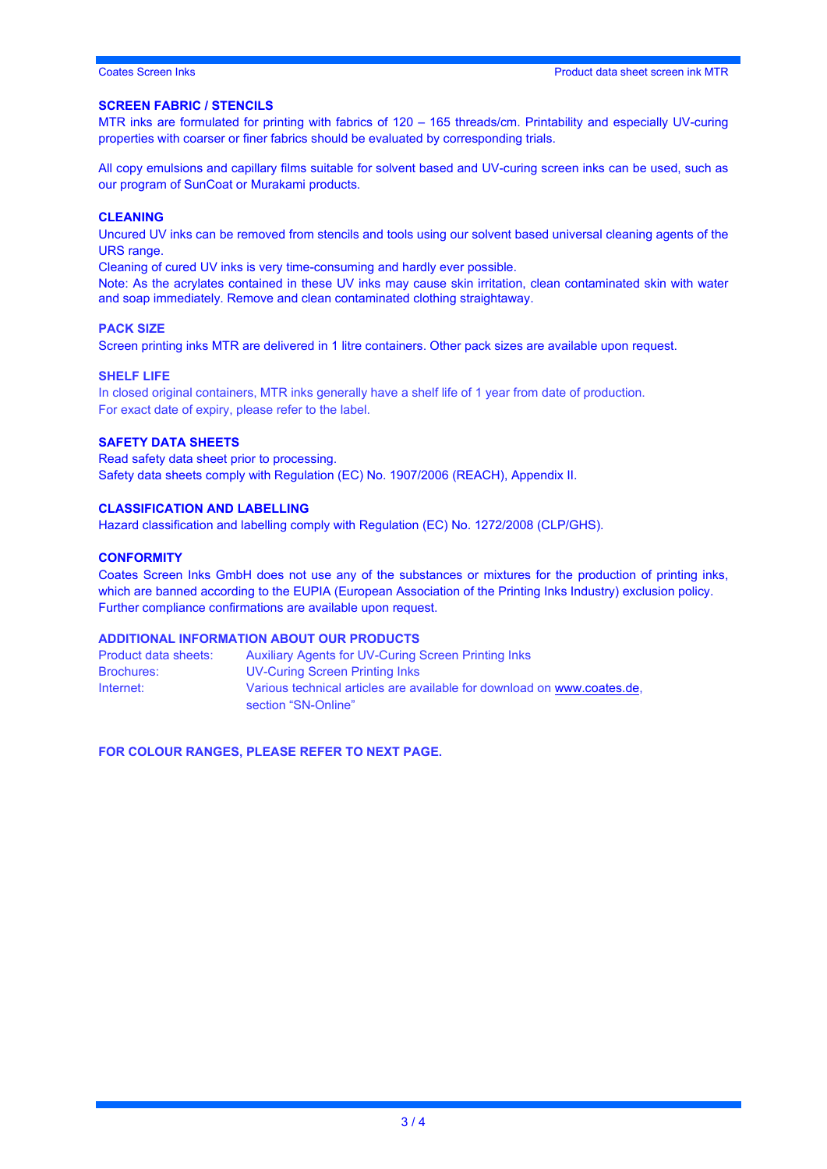#### **SCREEN FABRIC / STENCILS**

MTR inks are formulated for printing with fabrics of 120 – 165 threads/cm. Printability and especially UV-curing properties with coarser or finer fabrics should be evaluated by corresponding trials.

All copy emulsions and capillary films suitable for solvent based and UV-curing screen inks can be used, such as our program of SunCoat or Murakami products.

#### **CLEANING**

Uncured UV inks can be removed from stencils and tools using our solvent based universal cleaning agents of the URS range.

Cleaning of cured UV inks is very time-consuming and hardly ever possible.

Note: As the acrylates contained in these UV inks may cause skin irritation, clean contaminated skin with water and soap immediately. Remove and clean contaminated clothing straightaway.

#### **PACK SIZE**

Screen printing inks MTR are delivered in 1 litre containers. Other pack sizes are available upon request.

#### **SHELF LIFE**

In closed original containers, MTR inks generally have a shelf life of 1 year from date of production. For exact date of expiry, please refer to the label.

#### **SAFETY DATA SHEETS**

Read safety data sheet prior to processing. Safety data sheets comply with Regulation (EC) No. 1907/2006 (REACH), Appendix II.

#### **CLASSIFICATION AND LABELLING**

Hazard classification and labelling comply with Regulation (EC) No. 1272/2008 (CLP/GHS).

#### **CONFORMITY**

Coates Screen Inks GmbH does not use any of the substances or mixtures for the production of printing inks, which are banned according to the EUPIA (European Association of the Printing Inks Industry) exclusion policy. Further compliance confirmations are available upon request.

#### **ADDITIONAL INFORMATION ABOUT OUR PRODUCTS**

Product data sheets: Auxiliary Agents for UV-Curing Screen Printing Inks Brochures: UV-Curing Screen Printing Inks Internet: Various technical articles are available for download on [www.coates.de,](http://www.coates.de/) section "SN-Online"

**FOR COLOUR RANGES, PLEASE REFER TO NEXT PAGE.**